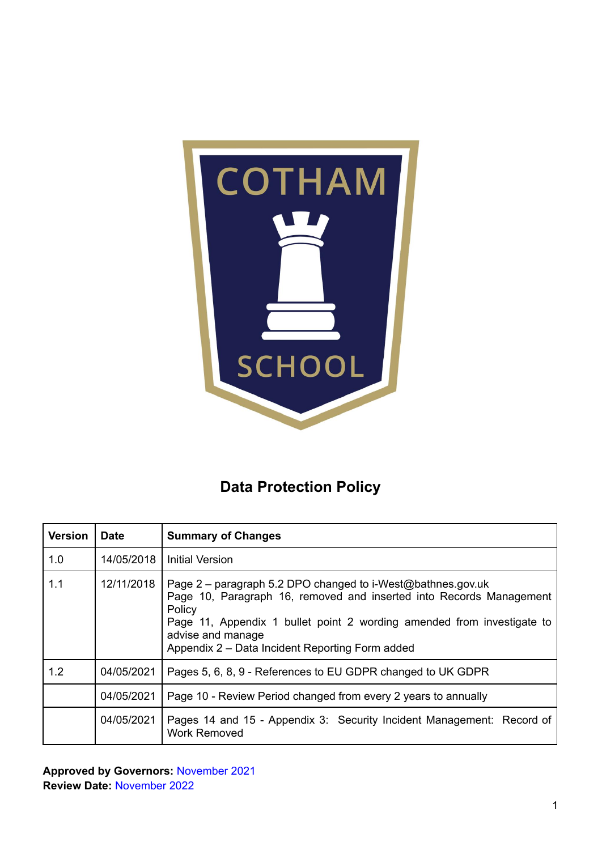

### **Data Protection Policy**

| <b>Version</b> | <b>Date</b> | <b>Summary of Changes</b>                                                                                                                                                                                                                                                                      |
|----------------|-------------|------------------------------------------------------------------------------------------------------------------------------------------------------------------------------------------------------------------------------------------------------------------------------------------------|
| 1.0            | 14/05/2018  | <b>Initial Version</b>                                                                                                                                                                                                                                                                         |
| 1.1            | 12/11/2018  | Page 2 – paragraph 5.2 DPO changed to i-West@bathnes.gov.uk<br>Page 10, Paragraph 16, removed and inserted into Records Management<br>Policy<br>Page 11, Appendix 1 bullet point 2 wording amended from investigate to<br>advise and manage<br>Appendix 2 – Data Incident Reporting Form added |
| 1.2            | 04/05/2021  | Pages 5, 6, 8, 9 - References to EU GDPR changed to UK GDPR                                                                                                                                                                                                                                    |
|                | 04/05/2021  | Page 10 - Review Period changed from every 2 years to annually                                                                                                                                                                                                                                 |
|                | 04/05/2021  | Pages 14 and 15 - Appendix 3: Security Incident Management: Record of<br><b>Work Removed</b>                                                                                                                                                                                                   |

**Approved by Governors:** November 2021 **Review Date:** November 2022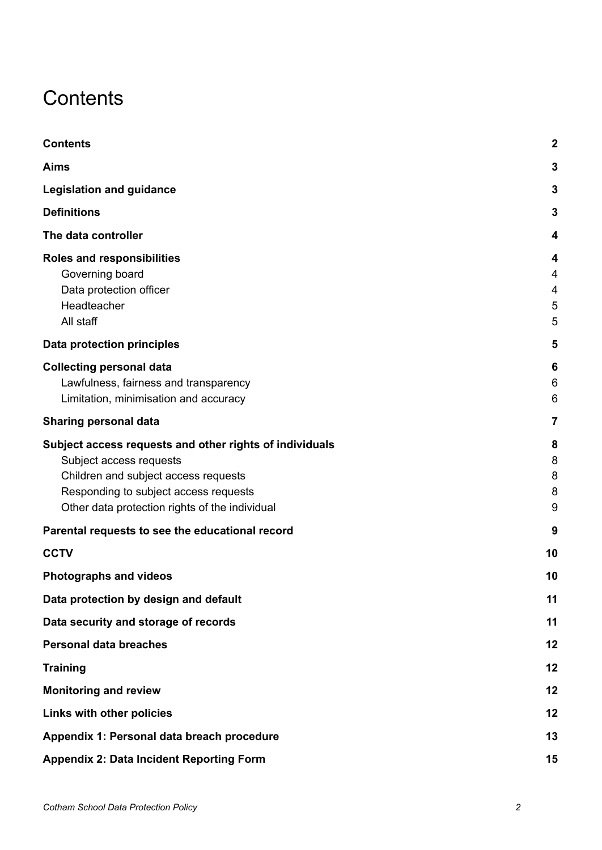### <span id="page-1-0"></span>**Contents**

| <b>Contents</b>                                                                                                                                                                                                       | $\mathbf{2}$                       |
|-----------------------------------------------------------------------------------------------------------------------------------------------------------------------------------------------------------------------|------------------------------------|
| <b>Aims</b>                                                                                                                                                                                                           | 3                                  |
| <b>Legislation and guidance</b>                                                                                                                                                                                       | 3                                  |
| <b>Definitions</b>                                                                                                                                                                                                    | 3                                  |
| The data controller                                                                                                                                                                                                   | 4                                  |
| <b>Roles and responsibilities</b><br>Governing board<br>Data protection officer<br>Headteacher<br>All staff                                                                                                           | 4<br>4<br>$\overline{4}$<br>5<br>5 |
| <b>Data protection principles</b>                                                                                                                                                                                     | 5                                  |
| <b>Collecting personal data</b><br>Lawfulness, fairness and transparency<br>Limitation, minimisation and accuracy                                                                                                     | 6<br>6<br>6                        |
| <b>Sharing personal data</b>                                                                                                                                                                                          | 7                                  |
| Subject access requests and other rights of individuals<br>Subject access requests<br>Children and subject access requests<br>Responding to subject access requests<br>Other data protection rights of the individual | 8<br>8<br>8<br>8<br>9              |
| Parental requests to see the educational record                                                                                                                                                                       | 9                                  |
| <b>CCTV</b>                                                                                                                                                                                                           | 10                                 |
| <b>Photographs and videos</b>                                                                                                                                                                                         | 10                                 |
| Data protection by design and default                                                                                                                                                                                 | 11                                 |
| Data security and storage of records                                                                                                                                                                                  | 11                                 |
| <b>Personal data breaches</b>                                                                                                                                                                                         | 12                                 |
| <b>Training</b>                                                                                                                                                                                                       | 12                                 |
| <b>Monitoring and review</b>                                                                                                                                                                                          | 12                                 |
| Links with other policies                                                                                                                                                                                             | 12                                 |
| Appendix 1: Personal data breach procedure                                                                                                                                                                            | 13                                 |
| <b>Appendix 2: Data Incident Reporting Form</b>                                                                                                                                                                       | 15                                 |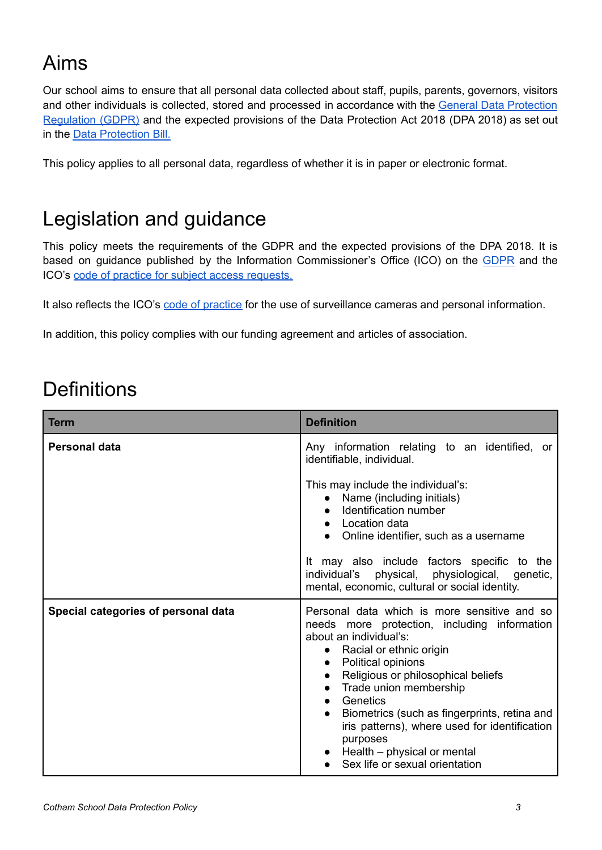# <span id="page-2-0"></span>Aims

Our school aims to ensure that all personal data collected about staff, pupils, parents, governors, visitors and other individuals is collected, stored and processed in accordance with the General Data [Protection](http://data.consilium.europa.eu/doc/document/ST-5419-2016-INIT/en/pdf) [Regulation](http://data.consilium.europa.eu/doc/document/ST-5419-2016-INIT/en/pdf) (GDPR) and the expected provisions of the Data Protection Act 2018 (DPA 2018) as set out in the Data [Protection](http://data.consilium.europa.eu/doc/document/ST-5419-2016-INIT/en/pdf) Bill.

This policy applies to all personal data, regardless of whether it is in paper or electronic format.

### <span id="page-2-1"></span>Legislation and guidance

This policy meets the requirements of the GDPR and the expected provisions of the DPA 2018. It is based on guidance published by the Information Commissioner's Office (ICO) on the [GDPR](https://ico.org.uk/for-organisations/guide-to-the-general-data-protection-regulation-gdpr/) and the ICO's code of practice for subject access [requests.](https://ico.org.uk/media/for-organisations/documents/2014223/subject-access-code-of-practice.pdf)

It also reflects the ICO's code of [practice](https://ico.org.uk/media/for-organisations/documents/1542/cctv-code-of-practice.pdf) for the use of surveillance cameras and personal information.

In addition, this policy complies with our funding agreement and articles of association.

# <span id="page-2-2"></span>**Definitions**

| <b>Term</b>                         | <b>Definition</b>                                                                                                                                                                                                                                                                                                                                                                                                                                                                  |
|-------------------------------------|------------------------------------------------------------------------------------------------------------------------------------------------------------------------------------------------------------------------------------------------------------------------------------------------------------------------------------------------------------------------------------------------------------------------------------------------------------------------------------|
| <b>Personal data</b>                | Any information relating to an identified, or<br>identifiable, individual.                                                                                                                                                                                                                                                                                                                                                                                                         |
|                                     | This may include the individual's:<br>• Name (including initials)<br>Identification number<br>• Location data<br>• Online identifier, such as a username<br>It may also include factors specific to the                                                                                                                                                                                                                                                                            |
|                                     | individual's physical, physiological, genetic,<br>mental, economic, cultural or social identity.                                                                                                                                                                                                                                                                                                                                                                                   |
| Special categories of personal data | Personal data which is more sensitive and so<br>needs more protection, including information<br>about an individual's:<br>• Racial or ethnic origin<br><b>Political opinions</b><br>$\bullet$<br>• Religious or philosophical beliefs<br>• Trade union membership<br>Genetics<br>$\bullet$<br>Biometrics (such as fingerprints, retina and<br>iris patterns), where used for identification<br>purposes<br>$\bullet$ Health – physical or mental<br>Sex life or sexual orientation |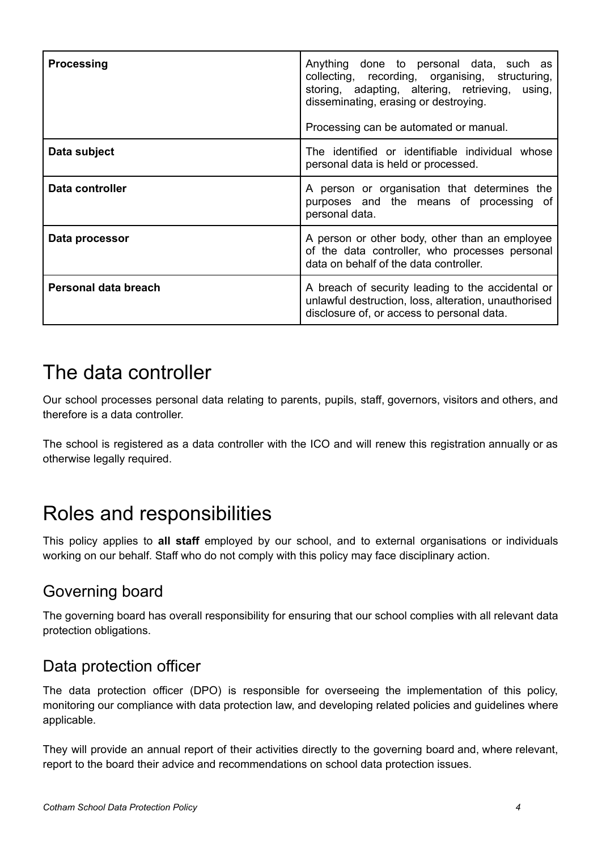| <b>Processing</b>    | Anything done to personal data, such as<br>collecting, recording, organising, structuring,<br>storing, adapting, altering, retrieving, using,<br>disseminating, erasing or destroying.<br>Processing can be automated or manual. |
|----------------------|----------------------------------------------------------------------------------------------------------------------------------------------------------------------------------------------------------------------------------|
| Data subject         | The identified or identifiable individual whose<br>personal data is held or processed.                                                                                                                                           |
| Data controller      | A person or organisation that determines the<br>purposes and the means of processing of<br>personal data.                                                                                                                        |
| Data processor       | A person or other body, other than an employee<br>of the data controller, who processes personal<br>data on behalf of the data controller.                                                                                       |
| Personal data breach | A breach of security leading to the accidental or<br>unlawful destruction, loss, alteration, unauthorised<br>disclosure of, or access to personal data.                                                                          |

### <span id="page-3-0"></span>The data controller

Our school processes personal data relating to parents, pupils, staff, governors, visitors and others, and therefore is a data controller.

The school is registered as a data controller with the ICO and will renew this registration annually or as otherwise legally required.

### <span id="page-3-1"></span>Roles and responsibilities

This policy applies to **all staff** employed by our school, and to external organisations or individuals working on our behalf. Staff who do not comply with this policy may face disciplinary action.

### <span id="page-3-2"></span>Governing board

The governing board has overall responsibility for ensuring that our school complies with all relevant data protection obligations.

#### <span id="page-3-3"></span>Data protection officer

The data protection officer (DPO) is responsible for overseeing the implementation of this policy, monitoring our compliance with data protection law, and developing related policies and guidelines where applicable.

They will provide an annual report of their activities directly to the governing board and, where relevant, report to the board their advice and recommendations on school data protection issues.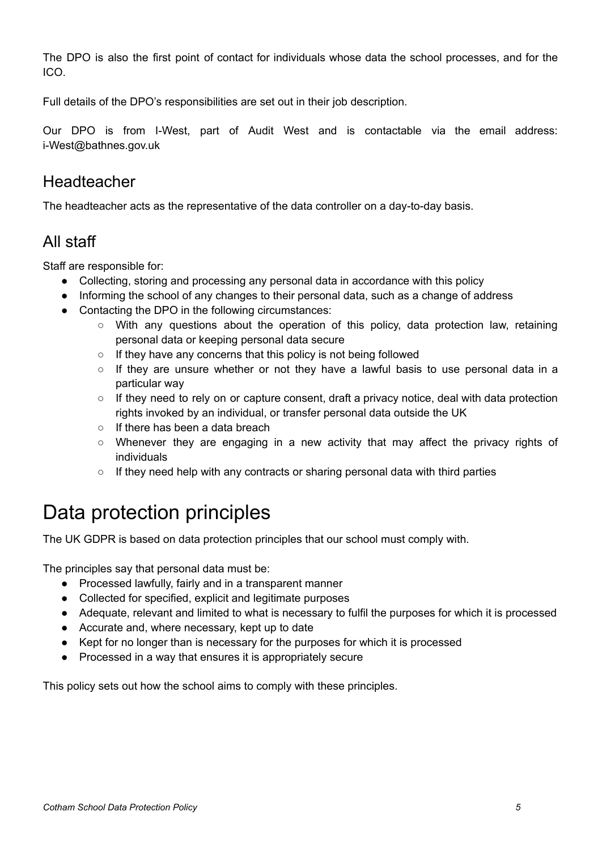The DPO is also the first point of contact for individuals whose data the school processes, and for the ICO.

Full details of the DPO's responsibilities are set out in their job description.

Our DPO is from I-West, part of Audit West and is contactable via the email address: i-West@bathnes.gov.uk

#### <span id="page-4-0"></span>Headteacher

<span id="page-4-1"></span>The headteacher acts as the representative of the data controller on a day-to-day basis.

#### All staff

Staff are responsible for:

- Collecting, storing and processing any personal data in accordance with this policy
- Informing the school of any changes to their personal data, such as a change of address
- Contacting the DPO in the following circumstances:
	- With any questions about the operation of this policy, data protection law, retaining personal data or keeping personal data secure
	- $\circ$  If they have any concerns that this policy is not being followed
	- If they are unsure whether or not they have a lawful basis to use personal data in a particular way
	- If they need to rely on or capture consent, draft a privacy notice, deal with data protection rights invoked by an individual, or transfer personal data outside the UK
	- $\circ$  If there has been a data breach
	- Whenever they are engaging in a new activity that may affect the privacy rights of individuals
	- $\circ$  If they need help with any contracts or sharing personal data with third parties

### <span id="page-4-2"></span>Data protection principles

The UK GDPR is based on data protection principles that our school must comply with.

The principles say that personal data must be:

- Processed lawfully, fairly and in a transparent manner
- Collected for specified, explicit and legitimate purposes
- Adequate, relevant and limited to what is necessary to fulfil the purposes for which it is processed
- Accurate and, where necessary, kept up to date
- Kept for no longer than is necessary for the purposes for which it is processed
- Processed in a way that ensures it is appropriately secure

This policy sets out how the school aims to comply with these principles.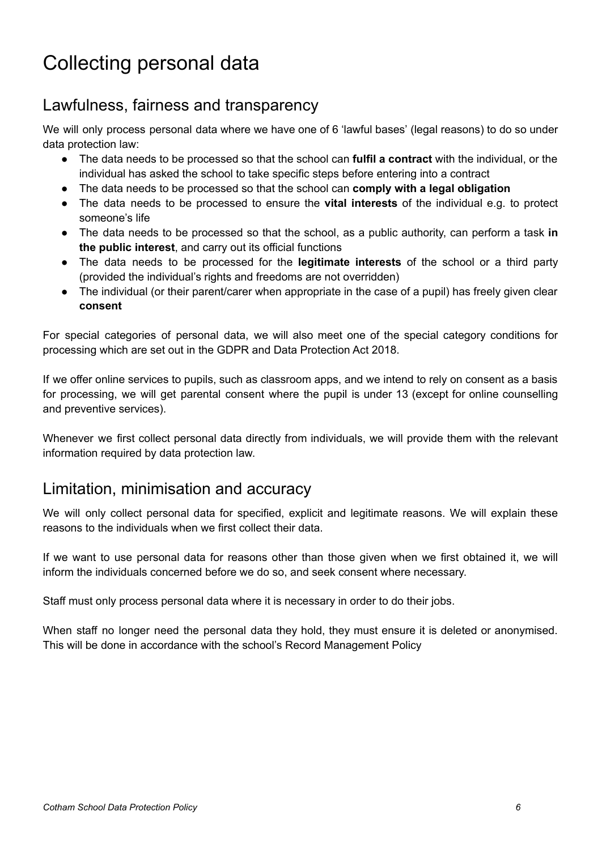### <span id="page-5-0"></span>Collecting personal data

#### <span id="page-5-1"></span>Lawfulness, fairness and transparency

We will only process personal data where we have one of 6 'lawful bases' (legal reasons) to do so under data protection law:

- The data needs to be processed so that the school can **fulfil a contract** with the individual, or the individual has asked the school to take specific steps before entering into a contract
- The data needs to be processed so that the school can **comply with a legal obligation**
- The data needs to be processed to ensure the **vital interests** of the individual e.g. to protect someone's life
- The data needs to be processed so that the school, as a public authority, can perform a task **in the public interest**, and carry out its official functions
- The data needs to be processed for the **legitimate interests** of the school or a third party (provided the individual's rights and freedoms are not overridden)
- The individual (or their parent/carer when appropriate in the case of a pupil) has freely given clear **consent**

For special categories of personal data, we will also meet one of the special category conditions for processing which are set out in the GDPR and Data Protection Act 2018.

If we offer online services to pupils, such as classroom apps, and we intend to rely on consent as a basis for processing, we will get parental consent where the pupil is under 13 (except for online counselling and preventive services).

Whenever we first collect personal data directly from individuals, we will provide them with the relevant information required by data protection law.

#### <span id="page-5-2"></span>Limitation, minimisation and accuracy

We will only collect personal data for specified, explicit and legitimate reasons. We will explain these reasons to the individuals when we first collect their data.

If we want to use personal data for reasons other than those given when we first obtained it, we will inform the individuals concerned before we do so, and seek consent where necessary.

Staff must only process personal data where it is necessary in order to do their jobs.

When staff no longer need the personal data they hold, they must ensure it is deleted or anonymised. This will be done in accordance with the school's Record Management Policy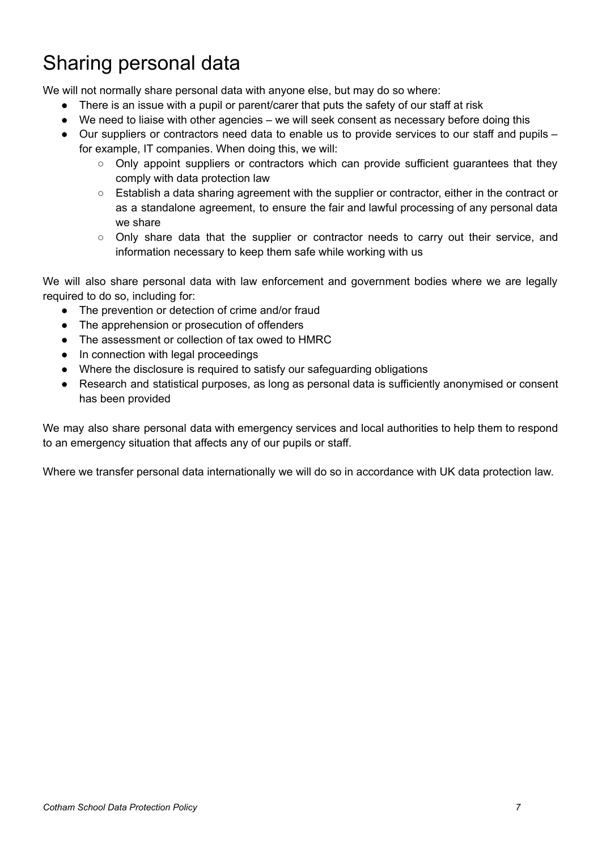# <span id="page-6-0"></span>Sharing personal data

We will not normally share personal data with anyone else, but may do so where:

- There is an issue with a pupil or parent/carer that puts the safety of our staff at risk
- We need to liaise with other agencies we will seek consent as necessary before doing this
- Our suppliers or contractors need data to enable us to provide services to our staff and pupils for example, IT companies. When doing this, we will:
	- $\circ$  Only appoint suppliers or contractors which can provide sufficient guarantees that they comply with data protection law
	- Establish a data sharing agreement with the supplier or contractor, either in the contract or as a standalone agreement, to ensure the fair and lawful processing of any personal data we share
	- Only share data that the supplier or contractor needs to carry out their service, and information necessary to keep them safe while working with us

We will also share personal data with law enforcement and government bodies where we are legally required to do so, including for:

- The prevention or detection of crime and/or fraud
- The apprehension or prosecution of offenders
- The assessment or collection of tax owed to HMRC
- In connection with legal proceedings
- Where the disclosure is required to satisfy our safeguarding obligations
- Research and statistical purposes, as long as personal data is sufficiently anonymised or consent has been provided

We may also share personal data with emergency services and local authorities to help them to respond to an emergency situation that affects any of our pupils or staff.

Where we transfer personal data internationally we will do so in accordance with UK data protection law.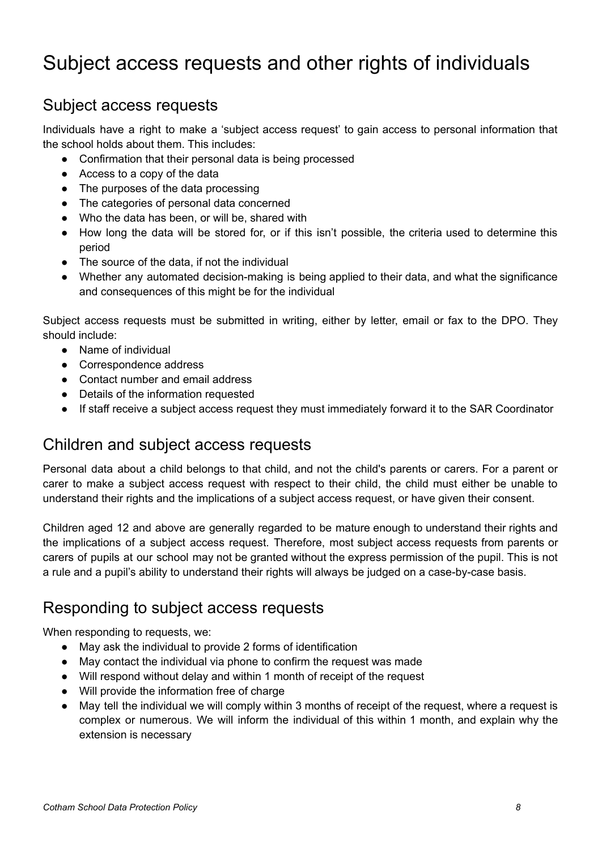### <span id="page-7-0"></span>Subject access requests and other rights of individuals

#### <span id="page-7-1"></span>Subject access requests

Individuals have a right to make a 'subject access request' to gain access to personal information that the school holds about them. This includes:

- Confirmation that their personal data is being processed
- Access to a copy of the data
- The purposes of the data processing
- The categories of personal data concerned
- Who the data has been, or will be, shared with
- How long the data will be stored for, or if this isn't possible, the criteria used to determine this period
- The source of the data, if not the individual
- Whether any automated decision-making is being applied to their data, and what the significance and consequences of this might be for the individual

Subject access requests must be submitted in writing, either by letter, email or fax to the DPO. They should include:

- Name of individual
- Correspondence address
- Contact number and email address
- Details of the information requested
- If staff receive a subject access request they must immediately forward it to the SAR Coordinator

#### <span id="page-7-2"></span>Children and subject access requests

Personal data about a child belongs to that child, and not the child's parents or carers. For a parent or carer to make a subject access request with respect to their child, the child must either be unable to understand their rights and the implications of a subject access request, or have given their consent.

Children aged 12 and above are generally regarded to be mature enough to understand their rights and the implications of a subject access request. Therefore, most subject access requests from parents or carers of pupils at our school may not be granted without the express permission of the pupil. This is not a rule and a pupil's ability to understand their rights will always be judged on a case-by-case basis.

#### <span id="page-7-3"></span>Responding to subject access requests

When responding to requests, we:

- May ask the individual to provide 2 forms of identification
- May contact the individual via phone to confirm the request was made
- Will respond without delay and within 1 month of receipt of the request
- Will provide the information free of charge
- May tell the individual we will comply within 3 months of receipt of the request, where a request is complex or numerous. We will inform the individual of this within 1 month, and explain why the extension is necessary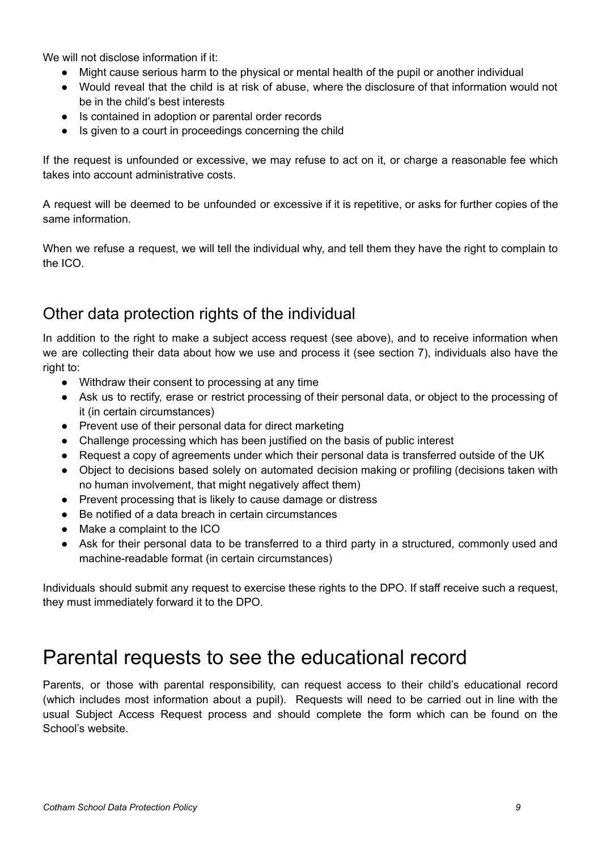We will not disclose information if it:

- Might cause serious harm to the physical or mental health of the pupil or another individual
- Would reveal that the child is at risk of abuse, where the disclosure of that information would not be in the child's best interests
- Is contained in adoption or parental order records
- Is given to a court in proceedings concerning the child

If the request is unfounded or excessive, we may refuse to act on it, or charge a reasonable fee which takes into account administrative costs.

A request will be deemed to be unfounded or excessive if it is repetitive, or asks for further copies of the same information.

When we refuse a request, we will tell the individual why, and tell them they have the right to complain to the ICO.

#### <span id="page-8-0"></span>Other data protection rights of the individual

In addition to the right to make a subject access request (see above), and to receive information when we are collecting their data about how we use and process it (see section 7), individuals also have the right to:

- Withdraw their consent to processing at any time
- Ask us to rectify, erase or restrict processing of their personal data, or object to the processing of it (in certain circumstances)
- Prevent use of their personal data for direct marketing
- Challenge processing which has been justified on the basis of public interest
- Request a copy of agreements under which their personal data is transferred outside of the UK
- Object to decisions based solely on automated decision making or profiling (decisions taken with no human involvement, that might negatively affect them)
- Prevent processing that is likely to cause damage or distress
- Be notified of a data breach in certain circumstances
- Make a complaint to the ICO
- Ask for their personal data to be transferred to a third party in a structured, commonly used and machine-readable format (in certain circumstances)

Individuals should submit any request to exercise these rights to the DPO. If staff receive such a request, they must immediately forward it to the DPO.

### <span id="page-8-1"></span>Parental requests to see the educational record

Parents, or those with parental responsibility, can request access to their child's educational record (which includes most information about a pupil). Requests will need to be carried out in line with the usual Subject Access Request process and should complete the form which can be found on the School's website.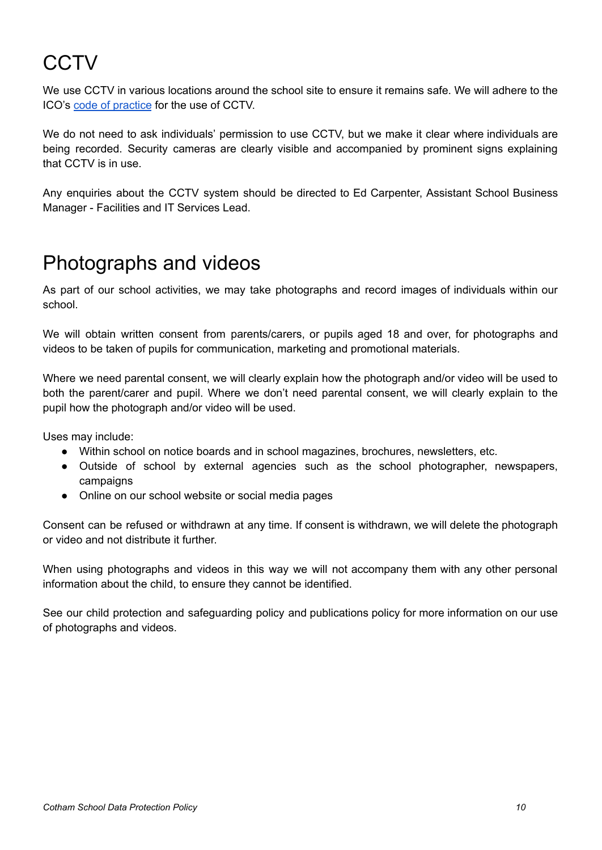# <span id="page-9-0"></span>**CCTV**

We use CCTV in various locations around the school site to ensure it remains safe. We will adhere to the ICO's code of [practice](https://ico.org.uk/media/for-organisations/documents/1542/cctv-code-of-practice.pdf) for the use of CCTV.

We do not need to ask individuals' permission to use CCTV, but we make it clear where individuals are being recorded. Security cameras are clearly visible and accompanied by prominent signs explaining that CCTV is in use.

Any enquiries about the CCTV system should be directed to Ed Carpenter, Assistant School Business Manager - Facilities and IT Services Lead.

### <span id="page-9-1"></span>Photographs and videos

As part of our school activities, we may take photographs and record images of individuals within our school.

We will obtain written consent from parents/carers, or pupils aged 18 and over, for photographs and videos to be taken of pupils for communication, marketing and promotional materials.

Where we need parental consent, we will clearly explain how the photograph and/or video will be used to both the parent/carer and pupil. Where we don't need parental consent, we will clearly explain to the pupil how the photograph and/or video will be used.

Uses may include:

- Within school on notice boards and in school magazines, brochures, newsletters, etc.
- Outside of school by external agencies such as the school photographer, newspapers, campaigns
- Online on our school website or social media pages

Consent can be refused or withdrawn at any time. If consent is withdrawn, we will delete the photograph or video and not distribute it further.

When using photographs and videos in this way we will not accompany them with any other personal information about the child, to ensure they cannot be identified.

See our child protection and safeguarding policy and publications policy for more information on our use of photographs and videos.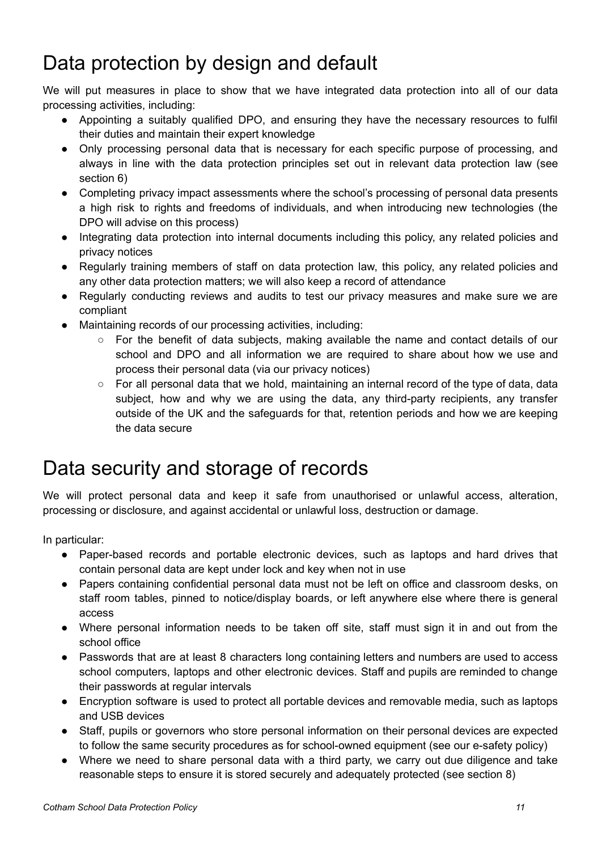# <span id="page-10-0"></span>Data protection by design and default

We will put measures in place to show that we have integrated data protection into all of our data processing activities, including:

- Appointing a suitably qualified DPO, and ensuring they have the necessary resources to fulfil their duties and maintain their expert knowledge
- Only processing personal data that is necessary for each specific purpose of processing, and always in line with the data protection principles set out in relevant data protection law (see section 6)
- Completing privacy impact assessments where the school's processing of personal data presents a high risk to rights and freedoms of individuals, and when introducing new technologies (the DPO will advise on this process)
- Integrating data protection into internal documents including this policy, any related policies and privacy notices
- Regularly training members of staff on data protection law, this policy, any related policies and any other data protection matters; we will also keep a record of attendance
- Regularly conducting reviews and audits to test our privacy measures and make sure we are compliant
- Maintaining records of our processing activities, including:
	- $\circ$  For the benefit of data subiects, making available the name and contact details of our school and DPO and all information we are required to share about how we use and process their personal data (via our privacy notices)
	- For all personal data that we hold, maintaining an internal record of the type of data, data subject, how and why we are using the data, any third-party recipients, any transfer outside of the UK and the safeguards for that, retention periods and how we are keeping the data secure

### <span id="page-10-1"></span>Data security and storage of records

We will protect personal data and keep it safe from unauthorised or unlawful access, alteration, processing or disclosure, and against accidental or unlawful loss, destruction or damage.

In particular:

- Paper-based records and portable electronic devices, such as laptops and hard drives that contain personal data are kept under lock and key when not in use
- Papers containing confidential personal data must not be left on office and classroom desks, on staff room tables, pinned to notice/display boards, or left anywhere else where there is general access
- Where personal information needs to be taken off site, staff must sign it in and out from the school office
- Passwords that are at least 8 characters long containing letters and numbers are used to access school computers, laptops and other electronic devices. Staff and pupils are reminded to change their passwords at regular intervals
- Encryption software is used to protect all portable devices and removable media, such as laptops and USB devices
- Staff, pupils or governors who store personal information on their personal devices are expected to follow the same security procedures as for school-owned equipment (see our e-safety policy)
- Where we need to share personal data with a third party, we carry out due diligence and take reasonable steps to ensure it is stored securely and adequately protected (see section 8)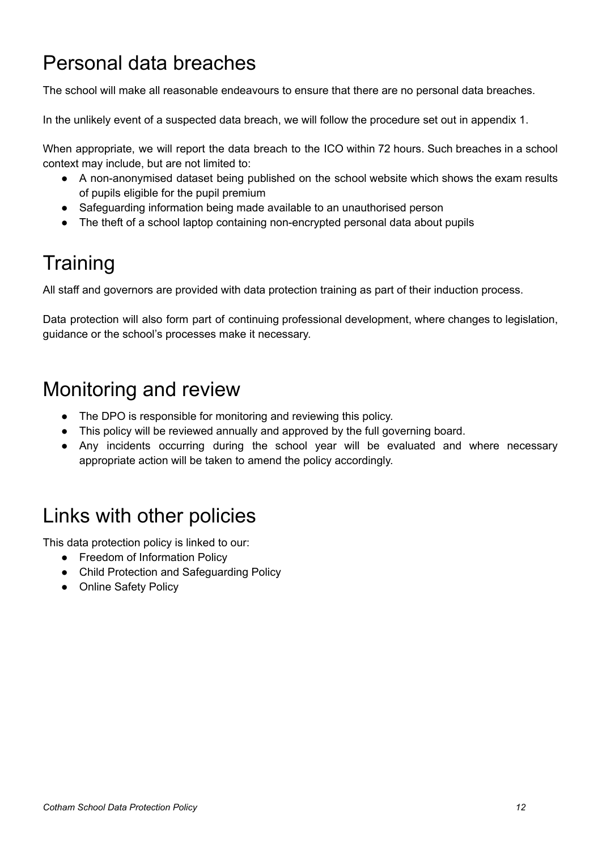### <span id="page-11-0"></span>Personal data breaches

The school will make all reasonable endeavours to ensure that there are no personal data breaches.

In the unlikely event of a suspected data breach, we will follow the procedure set out in appendix 1.

When appropriate, we will report the data breach to the ICO within 72 hours. Such breaches in a school context may include, but are not limited to:

- A non-anonymised dataset being published on the school website which shows the exam results of pupils eligible for the pupil premium
- Safeguarding information being made available to an unauthorised person
- The theft of a school laptop containing non-encrypted personal data about pupils

# <span id="page-11-1"></span>**Training**

All staff and governors are provided with data protection training as part of their induction process.

Data protection will also form part of continuing professional development, where changes to legislation, guidance or the school's processes make it necessary.

### <span id="page-11-2"></span>Monitoring and review

- The DPO is responsible for monitoring and reviewing this policy.
- This policy will be reviewed annually and approved by the full governing board.
- Any incidents occurring during the school year will be evaluated and where necessary appropriate action will be taken to amend the policy accordingly.

### <span id="page-11-3"></span>Links with other policies

This data protection policy is linked to our:

- Freedom of Information Policy
- Child Protection and Safeguarding Policy
- Online Safety Policy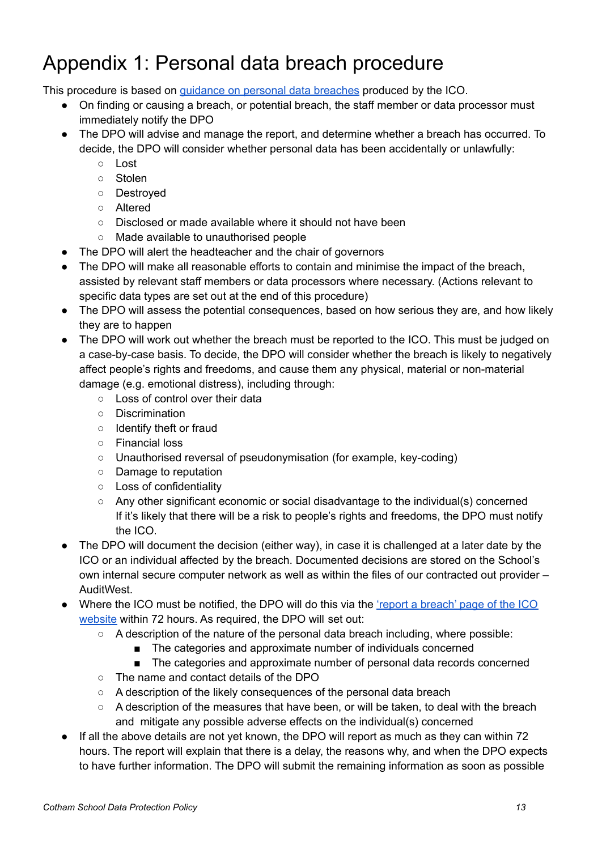# <span id="page-12-0"></span>Appendix 1: Personal data breach procedure

This procedure is based on guidance on personal data [breaches](https://ico.org.uk/for-organisations/guide-to-the-general-data-protection-regulation-gdpr/personal-data-breaches/) produced by the ICO.

- On finding or causing a breach, or potential breach, the staff member or data processor must immediately notify the DPO
- The DPO will advise and manage the report, and determine whether a breach has occurred. To decide, the DPO will consider whether personal data has been accidentally or unlawfully:
	- Lost
	- Stolen
	- Destroyed
	- Altered
	- Disclosed or made available where it should not have been
	- Made available to unauthorised people
- The DPO will alert the headteacher and the chair of governors
- The DPO will make all reasonable efforts to contain and minimise the impact of the breach, assisted by relevant staff members or data processors where necessary. (Actions relevant to specific data types are set out at the end of this procedure)
- The DPO will assess the potential consequences, based on how serious they are, and how likely they are to happen
- The DPO will work out whether the breach must be reported to the ICO. This must be judged on a case-by-case basis. To decide, the DPO will consider whether the breach is likely to negatively affect people's rights and freedoms, and cause them any physical, material or non-material damage (e.g. emotional distress), including through:
	- Loss of control over their data
	- Discrimination
	- Identify theft or fraud
	- Financial loss
	- Unauthorised reversal of pseudonymisation (for example, key-coding)
	- Damage to reputation
	- Loss of confidentiality
	- Any other significant economic or social disadvantage to the individual(s) concerned If it's likely that there will be a risk to people's rights and freedoms, the DPO must notify the ICO.
- The DPO will document the decision (either way), in case it is challenged at a later date by the ICO or an individual affected by the breach. Documented decisions are stored on the School's own internal secure computer network as well as within the files of our contracted out provider – AuditWest.
- Where the ICO must be notified, the DPO will do this via the 'report a [breach'](https://ico.org.uk/for-organisations/report-a-breach/) page of the ICO [website](https://ico.org.uk/for-organisations/report-a-breach/) within 72 hours. As required, the DPO will set out:
	- A description of the nature of the personal data breach including, where possible:
		- The categories and approximate number of individuals concerned
		- The categories and approximate number of personal data records concerned
	- The name and contact details of the DPO
	- A description of the likely consequences of the personal data breach
	- A description of the measures that have been, or will be taken, to deal with the breach and mitigate any possible adverse effects on the individual(s) concerned
- If all the above details are not yet known, the DPO will report as much as they can within 72 hours. The report will explain that there is a delay, the reasons why, and when the DPO expects to have further information. The DPO will submit the remaining information as soon as possible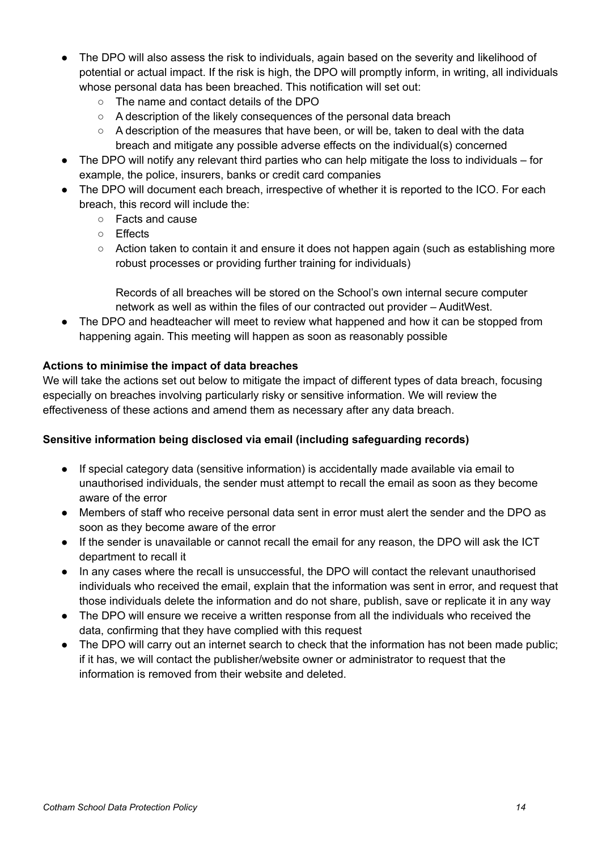- The DPO will also assess the risk to individuals, again based on the severity and likelihood of potential or actual impact. If the risk is high, the DPO will promptly inform, in writing, all individuals whose personal data has been breached. This notification will set out:
	- The name and contact details of the DPO
	- A description of the likely consequences of the personal data breach
	- $\circ$  A description of the measures that have been, or will be, taken to deal with the data breach and mitigate any possible adverse effects on the individual(s) concerned
- The DPO will notify any relevant third parties who can help mitigate the loss to individuals for example, the police, insurers, banks or credit card companies
- The DPO will document each breach, irrespective of whether it is reported to the ICO. For each breach, this record will include the:
	- Facts and cause
	- Effects
	- Action taken to contain it and ensure it does not happen again (such as establishing more robust processes or providing further training for individuals)

Records of all breaches will be stored on the School's own internal secure computer network as well as within the files of our contracted out provider – AuditWest.

• The DPO and headteacher will meet to review what happened and how it can be stopped from happening again. This meeting will happen as soon as reasonably possible

#### **Actions to minimise the impact of data breaches**

We will take the actions set out below to mitigate the impact of different types of data breach, focusing especially on breaches involving particularly risky or sensitive information. We will review the effectiveness of these actions and amend them as necessary after any data breach.

#### **Sensitive information being disclosed via email (including safeguarding records)**

- If special category data (sensitive information) is accidentally made available via email to unauthorised individuals, the sender must attempt to recall the email as soon as they become aware of the error
- Members of staff who receive personal data sent in error must alert the sender and the DPO as soon as they become aware of the error
- If the sender is unavailable or cannot recall the email for any reason, the DPO will ask the ICT department to recall it
- In any cases where the recall is unsuccessful, the DPO will contact the relevant unauthorised individuals who received the email, explain that the information was sent in error, and request that those individuals delete the information and do not share, publish, save or replicate it in any way
- The DPO will ensure we receive a written response from all the individuals who received the data, confirming that they have complied with this request
- The DPO will carry out an internet search to check that the information has not been made public; if it has, we will contact the publisher/website owner or administrator to request that the information is removed from their website and deleted.